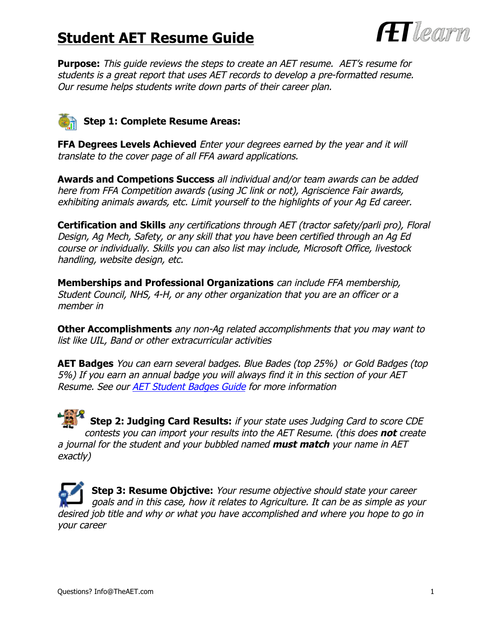## **Student AET Resume Guide**



**Purpose:** This guide reviews the steps to create an AET resume. AET's resume for students is a great report that uses AET records to develop a pre-formatted resume. Our resume helps students write down parts of their career plan.

## **Step 1: Complete Resume Areas:**

**FFA Degrees Levels Achieved** Enter your degrees earned by the year and it will translate to the cover page of all FFA award applications.

**Awards and Competions Success** all individual and/or team awards can be added here from FFA Competition awards (using JC link or not), Agriscience Fair awards, exhibiting animals awards, etc. Limit yourself to the highlights of your Ag Ed career.

**Certification and Skills** any certifications through AET (tractor safety/parli pro), Floral Design, Ag Mech, Safety, or any skill that you have been certified through an Ag Ed course or individually. Skills you can also list may include, Microsoft Office, livestock handling, website design, etc.

**Memberships and Professional Organizations** can include FFA membership, Student Council, NHS, 4-H, or any other organization that you are an officer or a member in

**Other Accomplishments** any non-Ag related accomplishments that you may want to list like UIL, Band or other extracurricular activities

**AET Badges** You can earn several badges. Blue Bades (top 25%) or Gold Badges (top 5%) If you earn an annual badge you will always find it in this section of your AET Resume. See our AET Student Badges Guide for more information

**Step 2: Judging Card Results:** if your state uses Judging Card to score CDE contests you can import your results into the AET Resume. (this does **not** create a journal for the student and your bubbled named **must match** your name in AET exactly)

**Step 3: Resume Objctive:** Your resume objective should state your career goals and in this case, how it relates to Agriculture. It can be as simple as your desired job title and why or what you have accomplished and where you hope to go in your career